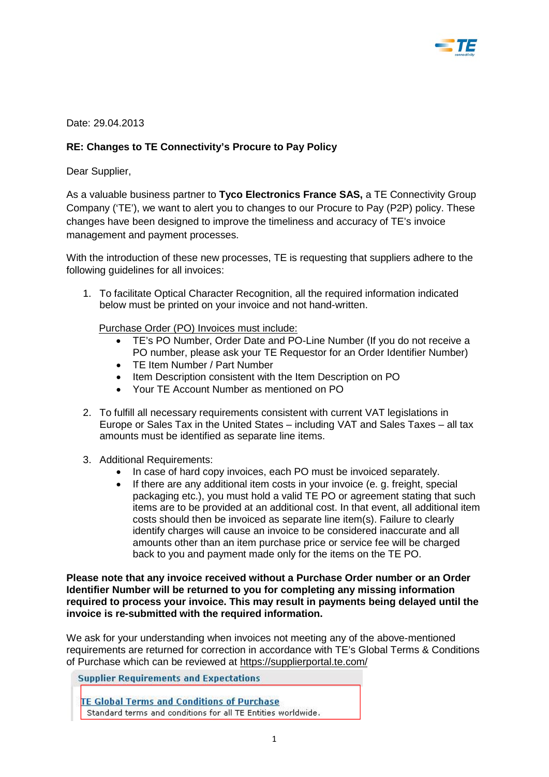

Date: 29.04.2013

## **RE: Changes to TE Connectivity's Procure to Pay Policy**

Dear Supplier,

As a valuable business partner to **Tyco Electronics France SAS,** a TE Connectivity Group Company ('TE'), we want to alert you to changes to our Procure to Pay (P2P) policy. These changes have been designed to improve the timeliness and accuracy of TE's invoice management and payment processes.

With the introduction of these new processes, TE is requesting that suppliers adhere to the following guidelines for all invoices:

1. To facilitate Optical Character Recognition, all the required information indicated below must be printed on your invoice and not hand-written.

Purchase Order (PO) Invoices must include:

- TE's PO Number, Order Date and PO-Line Number (If you do not receive a PO number, please ask your TE Requestor for an Order Identifier Number)
- TE Item Number / Part Number
- Item Description consistent with the Item Description on PO
- Your TE Account Number as mentioned on PO
- 2. To fulfill all necessary requirements consistent with current VAT legislations in Europe or Sales Tax in the United States – including VAT and Sales Taxes – all tax amounts must be identified as separate line items.
- 3. Additional Requirements:
	- In case of hard copy invoices, each PO must be invoiced separately.
	- If there are any additional item costs in your invoice (e. g. freight, special packaging etc.), you must hold a valid TE PO or agreement stating that such items are to be provided at an additional cost. In that event, all additional item costs should then be invoiced as separate line item(s). Failure to clearly identify charges will cause an invoice to be considered inaccurate and all amounts other than an item purchase price or service fee will be charged back to you and payment made only for the items on the TE PO.

**Please note that any invoice received without a Purchase Order number or an Order Identifier Number will be returned to you for completing any missing information required to process your invoice. This may result in payments being delayed until the invoice is re-submitted with the required information.** 

We ask for your understanding when invoices not meeting any of the above-mentioned requirements are returned for correction in accordance with TE's Global Terms & Conditions of Purchase which can be reviewed at<https://supplierportal.te.com/>

**Supplier Requirements and Expectations** 

**TE Global Terms and Conditions of Purchase** Standard terms and conditions for all TE Entities worldwide.